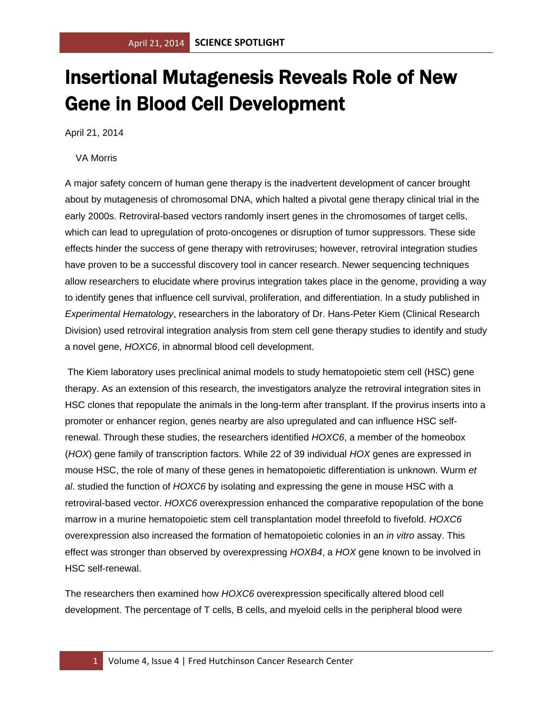## Insertional Mutagenesis Reveals Role of New Gene in Blood Cell Development

April 21, 2014

VA Morris

A major safety concern of human gene therapy is the inadvertent development of cancer brought about by mutagenesis of chromosomal DNA, which halted a pivotal gene therapy clinical trial in the early 2000s. Retroviral-based vectors randomly insert genes in the chromosomes of target cells, which can lead to upregulation of proto-oncogenes or disruption of tumor suppressors. These side effects hinder the success of gene therapy with retroviruses; however, retroviral integration studies have proven to be a successful discovery tool in cancer research. Newer sequencing techniques allow researchers to elucidate where provirus integration takes place in the genome, providing a way to identify genes that influence cell survival, proliferation, and differentiation. In a study published in *Experimental Hematology*, researchers in the laboratory of Dr. Hans-Peter Kiem (Clinical Research Division) used retroviral integration analysis from stem cell gene therapy studies to identify and study a novel gene, *HOXC6*, in abnormal blood cell development.

The Kiem laboratory uses preclinical animal models to study hematopoietic stem cell (HSC) gene therapy. As an extension of this research, the investigators analyze the retroviral integration sites in HSC clones that repopulate the animals in the long-term after transplant. If the provirus inserts into a promoter or enhancer region, genes nearby are also upregulated and can influence HSC selfrenewal. Through these studies, the researchers identified *HOXC6*, a member of the homeobox (*HOX*) gene family of transcription factors. While 22 of 39 individual *HOX* genes are expressed in mouse HSC, the role of many of these genes in hematopoietic differentiation is unknown. Wurm *et al*. studied the function of *HOXC6* by isolating and expressing the gene in mouse HSC with a retroviral-based vector. *HOXC6* overexpression enhanced the comparative repopulation of the bone marrow in a murine hematopoietic stem cell transplantation model threefold to fivefold. *HOXC6* overexpression also increased the formation of hematopoietic colonies in an *in vitro* assay. This effect was stronger than observed by overexpressing *HOXB4*, a *HOX* gene known to be involved in HSC self-renewal.

The researchers then examined how *HOXC6* overexpression specifically altered blood cell development. The percentage of T cells, B cells, and myeloid cells in the peripheral blood were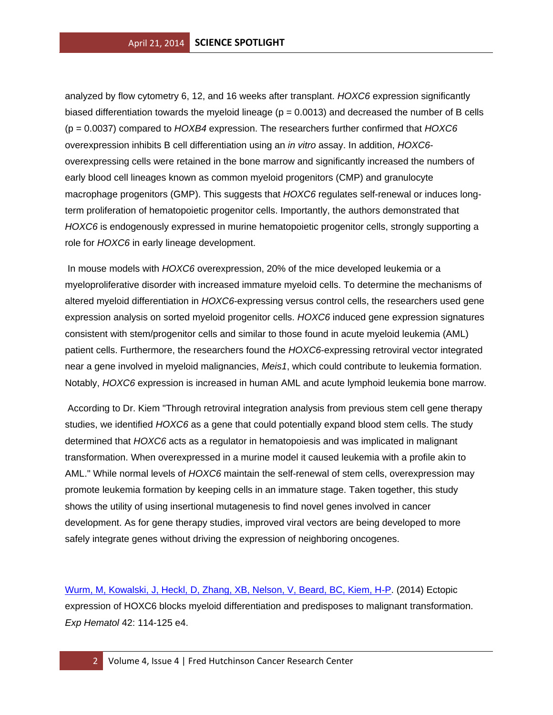analyzed by flow cytometry 6, 12, and 16 weeks after transplant. *HOXC6* expression significantly biased differentiation towards the myeloid lineage ( $p = 0.0013$ ) and decreased the number of B cells (p = 0.0037) compared to *HOXB4* expression. The researchers further confirmed that *HOXC6* overexpression inhibits B cell differentiation using an *in vitro* assay. In addition, *HOXC6* overexpressing cells were retained in the bone marrow and significantly increased the numbers of early blood cell lineages known as common myeloid progenitors (CMP) and granulocyte macrophage progenitors (GMP). This suggests that *HOXC6* regulates self-renewal or induces longterm proliferation of hematopoietic progenitor cells. Importantly, the authors demonstrated that *HOXC6* is endogenously expressed in murine hematopoietic progenitor cells, strongly supporting a role for *HOXC6* in early lineage development.

In mouse models with *HOXC6* overexpression, 20% of the mice developed leukemia or a myeloproliferative disorder with increased immature myeloid cells. To determine the mechanisms of altered myeloid differentiation in *HOXC6*-expressing versus control cells, the researchers used gene expression analysis on sorted myeloid progenitor cells. *HOXC6* induced gene expression signatures consistent with stem/progenitor cells and similar to those found in acute myeloid leukemia (AML) patient cells. Furthermore, the researchers found the *HOXC6*-expressing retroviral vector integrated near a gene involved in myeloid malignancies, *Meis1*, which could contribute to leukemia formation. Notably, *HOXC6* expression is increased in human AML and acute lymphoid leukemia bone marrow.

According to Dr. Kiem "Through retroviral integration analysis from previous stem cell gene therapy studies, we identified *HOXC6* as a gene that could potentially expand blood stem cells. The study determined that *HOXC6* acts as a regulator in hematopoiesis and was implicated in malignant transformation. When overexpressed in a murine model it caused leukemia with a profile akin to AML." While normal levels of *HOXC6* maintain the self-renewal of stem cells, overexpression may promote leukemia formation by keeping cells in an immature stage. Taken together, this study shows the utility of using insertional mutagenesis to find novel genes involved in cancer development. As for gene therapy studies, improved viral vectors are being developed to more safely integrate genes without driving the expression of neighboring oncogenes.

[Wurm, M, Kowalski, J, Heckl, D, Zhang, XB, Nelson, V, Beard, BC, Kiem, H-P.](http://www.ncbi.nlm.nih.gov/pubmed/24513167?otool=fhcrclib) (2014) Ectopic expression of HOXC6 blocks myeloid differentiation and predisposes to malignant transformation. *Exp Hematol* 42: 114-125 e4.